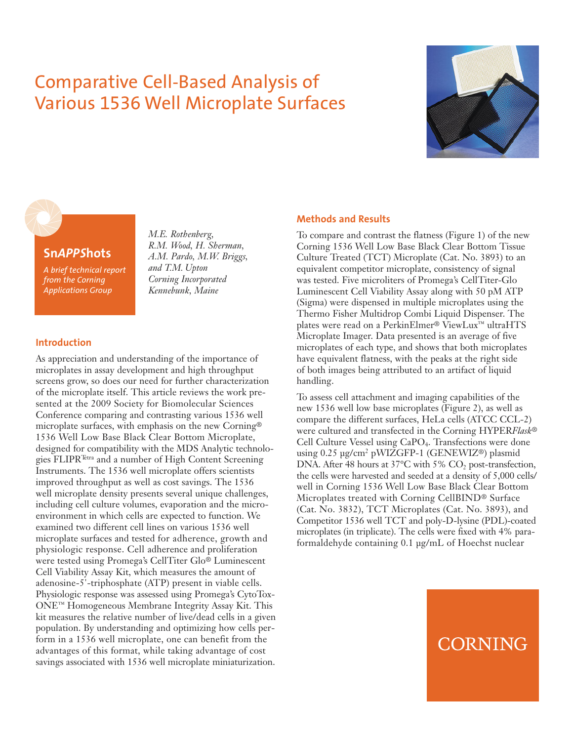## Comparative Cell-Based Analysis of Various 1536 Well Microplate Surfaces



### **Sn***APPS***hots**

*A brief technical report from the Corning Applications Group*

*M.E. Rothenberg, R.M. Wood, H. Sherman, A.M. Pardo, M.W. Briggs, and T.M. Upton Corning Incorporated Kennebunk, Maine*

#### **Introduction**

As appreciation and understanding of the importance of microplates in assay development and high throughput screens grow, so does our need for further characterization of the microplate itself. This article reviews the work presented at the 2009 Society for Biomolecular Sciences Conference comparing and contrasting various 1536 well microplate surfaces, with emphasis on the new Corning® 1536 Well Low Base Black Clear Bottom Microplate, designed for compatibility with the MDS Analytic technologies FLIPRTetra and a number of High Content Screening Instruments. The 1536 well microplate offers scientists improved throughput as well as cost savings. The 1536 well microplate density presents several unique challenges, including cell culture volumes, evaporation and the microenvironment in which cells are expected to function. We examined two different cell lines on various 1536 well microplate surfaces and tested for adherence, growth and physiologic response. Cell adherence and proliferation were tested using Promega's CellTiter Glo® Luminescent Cell Viability Assay Kit, which measures the amount of adenosine-5'-triphosphate (ATP) present in viable cells. Physiologic response was assessed using Promega's CytoTox-ONE™ Homogeneous Membrane Integrity Assay Kit. This kit measures the relative number of live/dead cells in a given population. By understanding and optimizing how cells perform in a 1536 well microplate, one can benefit from the advantages of this format, while taking advantage of cost savings associated with 1536 well microplate miniaturization.

#### **Methods and Results**

To compare and contrast the flatness (Figure 1) of the new Corning 1536 Well Low Base Black Clear Bottom Tissue Culture Treated (TCT) Microplate (Cat. No. 3893) to an equivalent competitor microplate, consistency of signal was tested. Five microliters of Promega's CellTiter-Glo Luminescent Cell Viability Assay along with 50 pM ATP (Sigma) were dispensed in multiple microplates using the Thermo Fisher Multidrop Combi Liquid Dispenser. The plates were read on a PerkinElmer® ViewLux™ ultraHTS Microplate Imager. Data presented is an average of five microplates of each type, and shows that both microplates have equivalent flatness, with the peaks at the right side of both images being attributed to an artifact of liquid handling.

To assess cell attachment and imaging capabilities of the new 1536 well low base microplates (Figure 2), as well as compare the different surfaces, HeLa cells (ATCC CCL-2) were cultured and transfected in the Corning HYPER*Flask*® Cell Culture Vessel using CaPO4. Transfections were done using 0.25 µg/cm2 pWIZGFP-1 (GENEWIZ®) plasmid DNA. After 48 hours at  $37^{\circ}$ C with 5% CO<sub>2</sub> post-transfection, the cells were harvested and seeded at a density of 5,000 cells/ well in Corning 1536 Well Low Base Black Clear Bottom Microplates treated with Corning CellBIND® Surface (Cat. No. 3832), TCT Microplates (Cat. No. 3893), and Competitor 1536 well TCT and poly-D-lysine (PDL)-coated microplates (in triplicate). The cells were fixed with 4% paraformaldehyde containing 0.1 µg/mL of Hoechst nuclear

## CORNING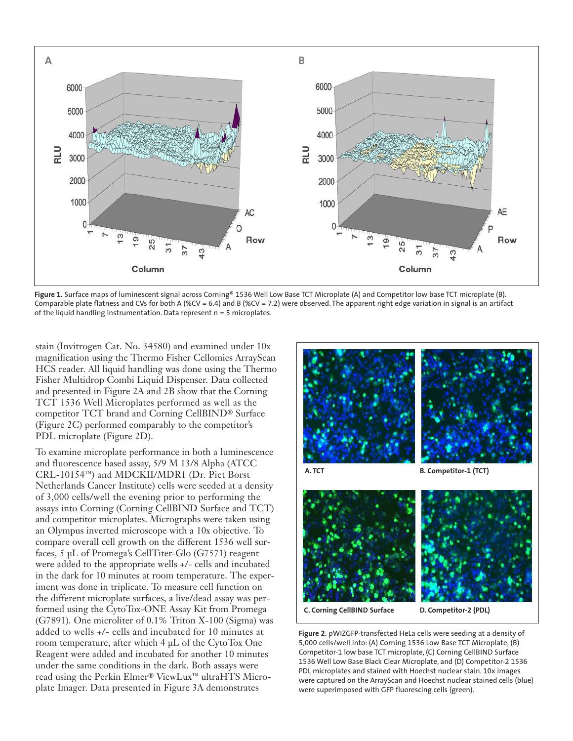

**Figure 1.** Surface maps of luminescent signal across Corning® 1536 Well Low Base TCT Microplate (A) and Competitor low base TCT microplate (B). Comparable plate flatness and CVs for both A (%CV = 6.4) and B (%CV = 7.2) were observed. The apparent right edge variation in signal is an artifact of the liquid handling instrumentation. Data represent  $n = 5$  microplates.

stain (Invitrogen Cat. No. 34580) and examined under 10x magnification using the Thermo Fisher Cellomics ArrayScan HCS reader. All liquid handling was done using the Thermo Fisher Multidrop Combi Liquid Dispenser. Data collected and presented in Figure 2A and 2B show that the Corning TCT 1536 Well Microplates performed as well as the competitor TCT brand and Corning CellBIND® Surface (Figure 2C) performed comparably to the competitor's PDL microplate (Figure 2D).

To examine microplate performance in both a luminescence and fluorescence based assay, 5/9 M 13/8 Alpha (ATCC CRL-10154™) and MDCKII/MDR1 (Dr. Piet Borst Netherlands Cancer Institute) cells were seeded at a density of 3,000 cells/well the evening prior to performing the assays into Corning (Corning CellBIND Surface and TCT) and competitor microplates. Micrographs were taken using an Olympus inverted microscope with a 10x objective. To compare overall cell growth on the different 1536 well surfaces, 5 µL of Promega's CellTiter-Glo (G7571) reagent were added to the appropriate wells +/- cells and incubated in the dark for 10 minutes at room temperature. The experiment was done in triplicate. To measure cell function on the different microplate surfaces, a live/dead assay was performed using the CytoTox-ONE Assay Kit from Promega (G7891). One microliter of 0.1% Triton X-100 (Sigma) was added to wells +/- cells and incubated for 10 minutes at room temperature, after which 4 µL of the CytoTox One Reagent were added and incubated for another 10 minutes under the same conditions in the dark. Both assays were read using the Perkin Elmer® ViewLux™ ultraHTS Microplate Imager. Data presented in Figure 3A demonstrates



**C. Corning CellBIND Surface D. Competitor-2 (PDL)**

**Figure 2.** pWIZGFP-transfected HeLa cells were seeding at a density of 5,000 cells/well into: (A) Corning 1536 Low Base TCT Microplate, (B) Competitor-1 low base TCT microplate, (C) Corning CellBIND Surface 1536 Well Low Base Black Clear Microplate, and (D) Competitor-2 1536 PDL microplates and stained with Hoechst nuclear stain. 10x images were captured on the ArrayScan and Hoechst nuclear stained cells (blue) were superimposed with GFP fluorescing cells (green).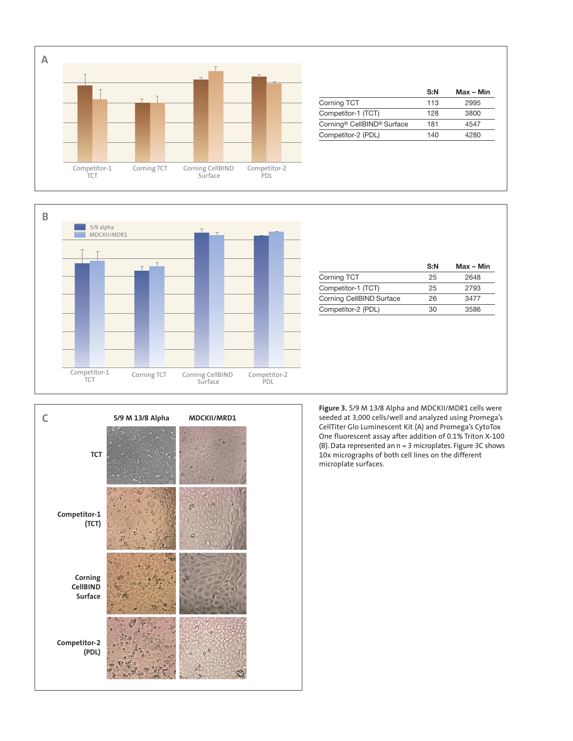

|                                                    | S:N | $Max - Min$ |
|----------------------------------------------------|-----|-------------|
| Corning TCT                                        | 113 | 2995        |
| Competitor-1 (TCT)                                 | 128 | 3800        |
| Corning <sup>®</sup> CellBIND <sup>®</sup> Surface | 181 | 4547        |
| Competitor-2 (PDL)                                 | 140 | 4280        |
|                                                    |     |             |



|                          | S:N | Max - Min |
|--------------------------|-----|-----------|
| <b>Corning TCT</b>       | 25  | 2648      |
| Competitor-1 (TCT)       | 25  | 2793      |
| Corning CellBIND Surface | 26  | 3477      |
| Competitor-2 (PDL)       | 30  | 3586      |



**Figure 3.** 5/9 M 13/8 Alpha and MDCKII/MDR1 cells were seeded at 3,000 cells/well and analyzed using Promega's CellTiter Glo Luminescent Kit (A) and Promega's CytoTox One fluorescent assay after addition of 0.1% Triton X-100 (B). Data represented an n = 3 microplates. Figure 3C shows 10x micrographs of both cell lines on the different microplate surfaces.